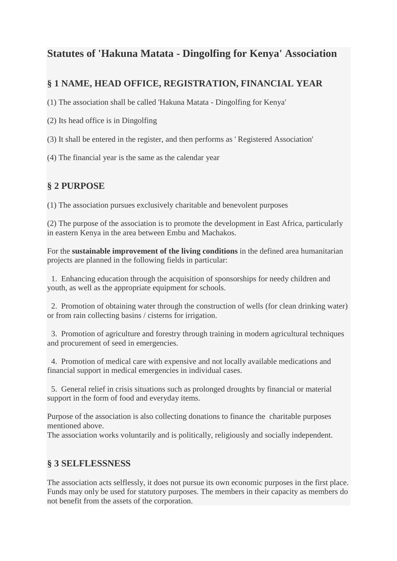# **Statutes of 'Hakuna Matata - Dingolfing for Kenya' Association**

## **§ 1 NAME, HEAD OFFICE, REGISTRATION, FINANCIAL YEAR**

(1) The association shall be called 'Hakuna Matata - Dingolfing for Kenya'

(2) Its head office is in Dingolfing

(3) It shall be entered in the register, and then performs as ' Registered Association'

(4) The financial year is the same as the calendar year

## **§ 2 PURPOSE**

(1) The association pursues exclusively charitable and benevolent purposes

(2) The purpose of the association is to promote the development in East Africa, particularly in eastern Kenya in the area between Embu and Machakos.

For the **sustainable improvement of the living conditions** in the defined area humanitarian projects are planned in the following fields in particular:

 1. Enhancing education through the acquisition of sponsorships for needy children and youth, as well as the appropriate equipment for schools.

 2. Promotion of obtaining water through the construction of wells (for clean drinking water) or from rain collecting basins / cisterns for irrigation.

 3. Promotion of agriculture and forestry through training in modern agricultural techniques and procurement of seed in emergencies.

 4. Promotion of medical care with expensive and not locally available medications and financial support in medical emergencies in individual cases.

 5. General relief in crisis situations such as prolonged droughts by financial or material support in the form of food and everyday items.

Purpose of the association is also collecting donations to finance the charitable purposes mentioned above.

The association works voluntarily and is politically, religiously and socially independent.

#### **§ 3 SELFLESSNESS**

The association acts selflessly, it does not pursue its own economic purposes in the first place. Funds may only be used for statutory purposes. The members in their capacity as members do not benefit from the assets of the corporation.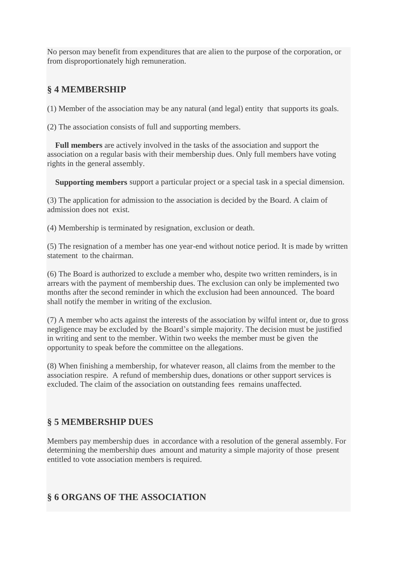No person may benefit from expenditures that are alien to the purpose of the corporation, or from disproportionately high remuneration.

## **§ 4 MEMBERSHIP**

(1) Member of the association may be any natural (and legal) entity that supports its goals.

(2) The association consists of full and supporting members.

 **Full members** are actively involved in the tasks of the association and support the association on a regular basis with their membership dues. Only full members have voting rights in the general assembly.

 **Supporting members** support a particular project or a special task in a special dimension.

(3) The application for admission to the association is decided by the Board. A claim of admission does not exist.

(4) Membership is terminated by resignation, exclusion or death.

(5) The resignation of a member has one year-end without notice period. It is made by written statement to the chairman.

(6) The Board is authorized to exclude a member who, despite two written reminders, is in arrears with the payment of membership dues. The exclusion can only be implemented two months after the second reminder in which the exclusion had been announced. The board shall notify the member in writing of the exclusion.

(7) A member who acts against the interests of the association by wilful intent or, due to gross negligence may be excluded by the Board's simple majority. The decision must be justified in writing and sent to the member. Within two weeks the member must be given the opportunity to speak before the committee on the allegations.

(8) When finishing a membership, for whatever reason, all claims from the member to the association respire. A refund of membership dues, donations or other support services is excluded. The claim of the association on outstanding fees remains unaffected.

## **§ 5 MEMBERSHIP DUES**

Members pay membership dues in accordance with a resolution of the general assembly. For determining the membership dues amount and maturity a simple majority of those present entitled to vote association members is required.

#### **§ 6 ORGANS OF THE ASSOCIATION**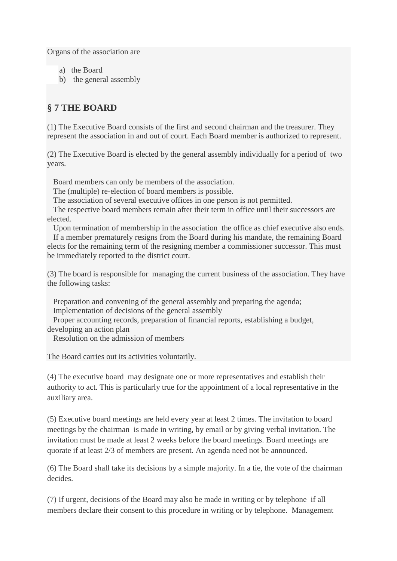Organs of the association are

- a) the Board
- b) the general assembly

## **§ 7 THE BOARD**

(1) The Executive Board consists of the first and second chairman and the treasurer. They represent the association in and out of court. Each Board member is authorized to represent.

(2) The Executive Board is elected by the general assembly individually for a period of two years.

Board members can only be members of the association.

The (multiple) re-election of board members is possible.

The association of several executive offices in one person is not permitted.

 The respective board members remain after their term in office until their successors are elected.

Upon termination of membership in the association the office as chief executive also ends.

 If a member prematurely resigns from the Board during his mandate, the remaining Board elects for the remaining term of the resigning member a commissioner successor. This must be immediately reported to the district court.

(3) The board is responsible for managing the current business of the association. They have the following tasks:

 Preparation and convening of the general assembly and preparing the agenda; Implementation of decisions of the general assembly

 Proper accounting records, preparation of financial reports, establishing a budget, developing an action plan

Resolution on the admission of members

The Board carries out its activities voluntarily.

(4) The executive board may designate one or more representatives and establish their authority to act. This is particularly true for the appointment of a local representative in the auxiliary area.

(5) Executive board meetings are held every year at least 2 times. The invitation to board meetings by the chairman is made in writing, by email or by giving verbal invitation. The invitation must be made at least 2 weeks before the board meetings. Board meetings are quorate if at least 2/3 of members are present. An agenda need not be announced.

(6) The Board shall take its decisions by a simple majority. In a tie, the vote of the chairman decides.

(7) If urgent, decisions of the Board may also be made in writing or by telephone if all members declare their consent to this procedure in writing or by telephone. Management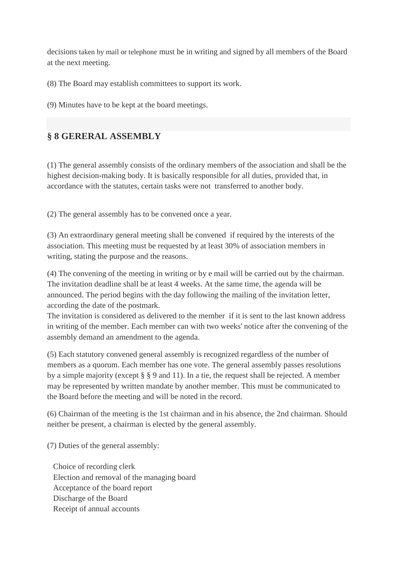decisions taken by mail or telephone must be in writing and signed by all members of the Board at the next meeting.

(8) The Board may establish committees to support its work.

(9) Minutes have to be kept at the board meetings.

## **§ 8 GERERAL ASSEMBLY**

(1) The general assembly consists of the ordinary members of the association and shall be the highest decision-making body. It is basically responsible for all duties, provided that, in accordance with the statutes, certain tasks were not transferred to another body.

(2) The general assembly has to be convened once a year.

(3) An extraordinary general meeting shall be convened if required by the interests of the association. This meeting must be requested by at least 30% of association members in writing, stating the purpose and the reasons.

(4) The convening of the meeting in writing or by e mail will be carried out by the chairman. The invitation deadline shall be at least 4 weeks. At the same time, the agenda will be announced. The period begins with the day following the mailing of the invitation letter, according the date of the postmark.

The invitation is considered as delivered to the member if it is sent to the last known address in writing of the member. Each member can with two weeks' notice after the convening of the assembly demand an amendment to the agenda.

(5) Each statutory convened general assembly is recognized regardless of the number of members as a quorum. Each member has one vote. The general assembly passes resolutions by a simple majority (except § § 9 and 11). In a tie, the request shall be rejected. A member may be represented by written mandate by another member. This must be communicated to the Board before the meeting and will be noted in the record.

(6) Chairman of the meeting is the 1st chairman and in his absence, the 2nd chairman. Should neither be present, a chairman is elected by the general assembly.

(7) Duties of the general assembly:

 Choice of recording clerk Election and removal of the managing board Acceptance of the board report Discharge of the Board Receipt of annual accounts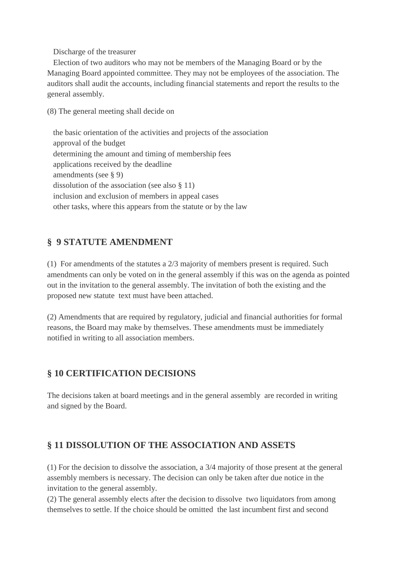Discharge of the treasurer

 Election of two auditors who may not be members of the Managing Board or by the Managing Board appointed committee. They may not be employees of the association. The auditors shall audit the accounts, including financial statements and report the results to the general assembly.

(8) The general meeting shall decide on

 the basic orientation of the activities and projects of the association approval of the budget determining the amount and timing of membership fees applications received by the deadline amendments (see § 9) dissolution of the association (see also § 11) inclusion and exclusion of members in appeal cases other tasks, where this appears from the statute or by the law

#### **§ 9 STATUTE AMENDMENT**

(1) For amendments of the statutes a 2/3 majority of members present is required. Such amendments can only be voted on in the general assembly if this was on the agenda as pointed out in the invitation to the general assembly. The invitation of both the existing and the proposed new statute text must have been attached.

(2) Amendments that are required by regulatory, judicial and financial authorities for formal reasons, the Board may make by themselves. These amendments must be immediately notified in writing to all association members.

## **§ 10 CERTIFICATION DECISIONS**

The decisions taken at board meetings and in the general assembly are recorded in writing and signed by the Board.

#### **§ 11 DISSOLUTION OF THE ASSOCIATION AND ASSETS**

(1) For the decision to dissolve the association, a 3/4 majority of those present at the general assembly members is necessary. The decision can only be taken after due notice in the invitation to the general assembly.

(2) The general assembly elects after the decision to dissolve two liquidators from among themselves to settle. If the choice should be omitted the last incumbent first and second